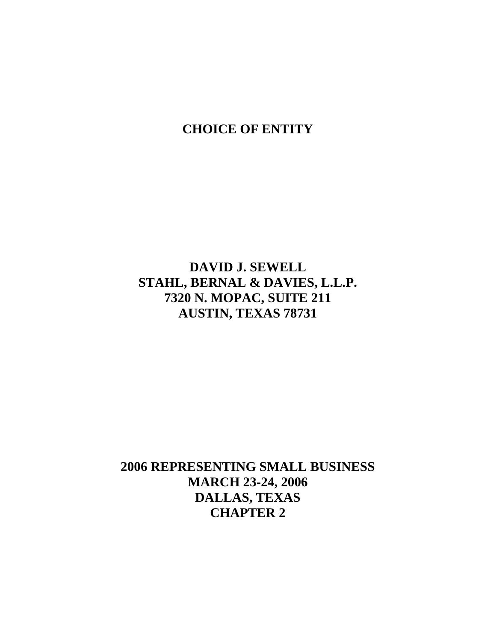# **CHOICE OF ENTITY**

**DAVID J. SEWELL STAHL, BERNAL & DAVIES, L.L.P. 7320 N. MOPAC, SUITE 211 AUSTIN, TEXAS 78731** 

**2006 REPRESENTING SMALL BUSINESS MARCH 23-24, 2006 DALLAS, TEXAS CHAPTER 2**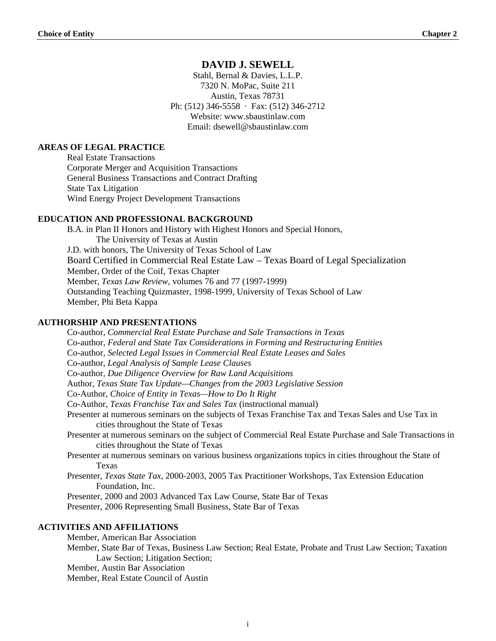## **DAVID J. SEWELL**

Stahl, Bernal & Davies, L.L.P. 7320 N. MoPac, Suite 211 Austin, Texas 78731 Ph: (512) 346-5558 · Fax: (512) 346-2712 Website: www.sbaustinlaw.com Email: dsewell@sbaustinlaw.com

## **AREAS OF LEGAL PRACTICE**

Real Estate Transactions Corporate Merger and Acquisition Transactions General Business Transactions and Contract Drafting State Tax Litigation Wind Energy Project Development Transactions

#### **EDUCATION AND PROFESSIONAL BACKGROUND**

B.A. in Plan II Honors and History with Highest Honors and Special Honors, The University of Texas at Austin J.D. with honors, The University of Texas School of Law Board Certified in Commercial Real Estate Law – Texas Board of Legal Specialization Member, Order of the Coif, Texas Chapter Member, *Texas Law Review*, volumes 76 and 77 (1997-1999) Outstanding Teaching Quizmaster, 1998-1999, University of Texas School of Law Member, Phi Beta Kappa

#### **AUTHORSHIP AND PRESENTATIONS**

Co-author, *Commercial Real Estate Purchase and Sale Transactions in Texas* Co-author, *Federal and State Tax Considerations in Forming and Restructuring Entities* Co-author, *Selected Legal Issues in Commercial Real Estate Leases and Sales* Co-author, *Legal Analysis of Sample Lease Clauses*  Co-author, *Due Diligence Overview for Raw Land Acquisitions*  Author, *Texas State Tax Update—Changes from the 2003 Legislative Session*  Co-Author, *Choice of Entity in Texas—How to Do It Right*  Co-Author, *Texas Franchise Tax and Sales Tax* (instructional manual) Presenter at numerous seminars on the subjects of Texas Franchise Tax and Texas Sales and Use Tax in cities throughout the State of Texas Presenter at numerous seminars on the subject of Commercial Real Estate Purchase and Sale Transactions in cities throughout the State of Texas Presenter at numerous seminars on various business organizations topics in cities throughout the State of Texas Presenter, *Texas State Tax*, 2000-2003, 2005 Tax Practitioner Workshops, Tax Extension Education Foundation, Inc. Presenter, 2000 and 2003 Advanced Tax Law Course, State Bar of Texas Presenter, 2006 Representing Small Business, State Bar of Texas **ACTIVITIES AND AFFILIATIONS** 

Member, American Bar Association

Member, State Bar of Texas, Business Law Section; Real Estate, Probate and Trust Law Section; Taxation Law Section; Litigation Section;

Member, Austin Bar Association

Member, Real Estate Council of Austin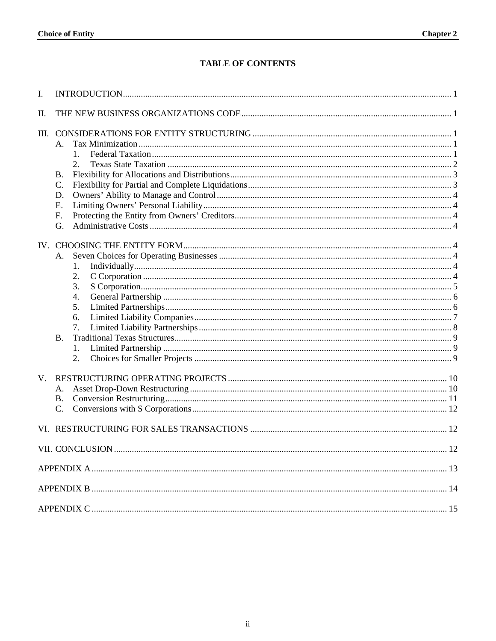## **TABLE OF CONTENTS**

| I.          |                                                                       |    |  |  |  |  |  |  |
|-------------|-----------------------------------------------------------------------|----|--|--|--|--|--|--|
| II.         |                                                                       |    |  |  |  |  |  |  |
|             | А.<br>$1_{-}$<br><b>B.</b><br>C.<br>D.<br>Е.<br>F.<br>G.              |    |  |  |  |  |  |  |
|             | A.<br>1.<br>2.<br>3.<br>4.<br>5.<br>6.<br>7.<br><b>B.</b><br>1.<br>2. |    |  |  |  |  |  |  |
| $V_{\cdot}$ | A.<br><b>B.</b><br>C.                                                 |    |  |  |  |  |  |  |
|             |                                                                       |    |  |  |  |  |  |  |
|             | VII. CONCLUSION                                                       | 12 |  |  |  |  |  |  |
|             |                                                                       |    |  |  |  |  |  |  |
|             |                                                                       |    |  |  |  |  |  |  |
|             |                                                                       |    |  |  |  |  |  |  |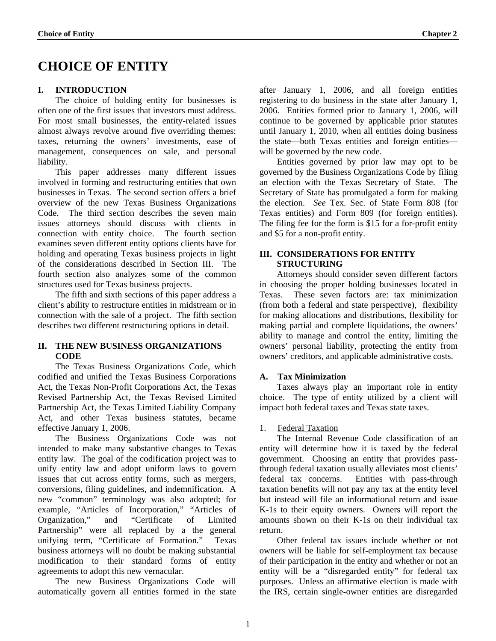# <span id="page-3-0"></span>**CHOICE OF ENTITY**

## **I. INTRODUCTION**

 The choice of holding entity for businesses is often one of the first issues that investors must address. For most small businesses, the entity-related issues almost always revolve around five overriding themes: taxes, returning the owners' investments, ease of management, consequences on sale, and personal liability.

 This paper addresses many different issues involved in forming and restructuring entities that own businesses in Texas. The second section offers a brief overview of the new Texas Business Organizations Code. The third section describes the seven main issues attorneys should discuss with clients in connection with entity choice. The fourth section examines seven different entity options clients have for holding and operating Texas business projects in light of the considerations described in Section III. The fourth section also analyzes some of the common structures used for Texas business projects.

 The fifth and sixth sections of this paper address a client's ability to restructure entities in midstream or in connection with the sale of a project. The fifth section describes two different restructuring options in detail.

## **II. THE NEW BUSINESS ORGANIZATIONS CODE**

 The Texas Business Organizations Code, which codified and unified the Texas Business Corporations Act, the Texas Non-Profit Corporations Act, the Texas Revised Partnership Act, the Texas Revised Limited Partnership Act, the Texas Limited Liability Company Act, and other Texas business statutes, became effective January 1, 2006.

 The Business Organizations Code was not intended to make many substantive changes to Texas entity law. The goal of the codification project was to unify entity law and adopt uniform laws to govern issues that cut across entity forms, such as mergers, conversions, filing guidelines, and indemnification. A new "common" terminology was also adopted; for example, "Articles of Incorporation," "Articles of Organization," and "Certificate of Limited Partnership" were all replaced by a the general unifying term, "Certificate of Formation." Texas business attorneys will no doubt be making substantial modification to their standard forms of entity agreements to adopt this new vernacular.

 The new Business Organizations Code will automatically govern all entities formed in the state

after January 1, 2006, and all foreign entities registering to do business in the state after January 1, 2006. Entities formed prior to January 1, 2006, will continue to be governed by applicable prior statutes until January 1, 2010, when all entities doing business the state—both Texas entities and foreign entities will be governed by the new code.

Entities governed by prior law may opt to be governed by the Business Organizations Code by filing an election with the Texas Secretary of State. The Secretary of State has promulgated a form for making the election. *See* Tex. Sec. of State Form 808 (for Texas entities) and Form 809 (for foreign entities). The filing fee for the form is \$15 for a for-profit entity and \$5 for a non-profit entity.

## **III. CONSIDERATIONS FOR ENTITY STRUCTURING**

 Attorneys should consider seven different factors in choosing the proper holding businesses located in Texas. These seven factors are: tax minimization (from both a federal and state perspective), flexibility for making allocations and distributions, flexibility for making partial and complete liquidations, the owners' ability to manage and control the entity, limiting the owners' personal liability, protecting the entity from owners' creditors, and applicable administrative costs.

## **A. Tax Minimization**

 Taxes always play an important role in entity choice. The type of entity utilized by a client will impact both federal taxes and Texas state taxes.

## 1. Federal Taxation

 The Internal Revenue Code classification of an entity will determine how it is taxed by the federal government. Choosing an entity that provides passthrough federal taxation usually alleviates most clients' federal tax concerns. Entities with pass-through taxation benefits will not pay any tax at the entity level but instead will file an informational return and issue K-1s to their equity owners. Owners will report the amounts shown on their K-1s on their individual tax return.

 Other federal tax issues include whether or not owners will be liable for self-employment tax because of their participation in the entity and whether or not an entity will be a "disregarded entity" for federal tax purposes. Unless an affirmative election is made with the IRS, certain single-owner entities are disregarded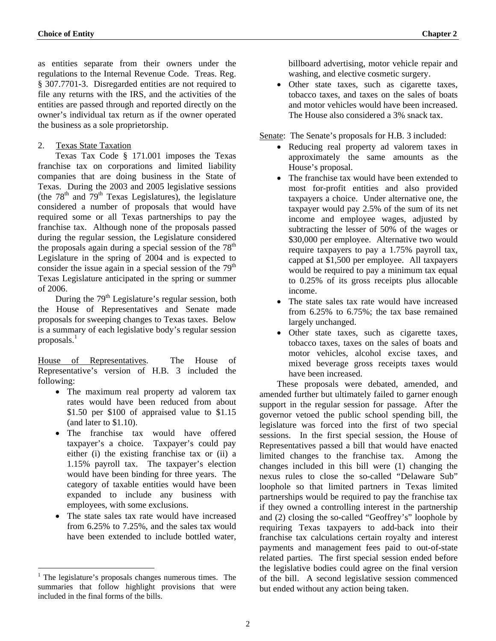<span id="page-4-0"></span>as entities separate from their owners under the regulations to the Internal Revenue Code. Treas. Reg. § 307.7701-3. Disregarded entities are not required to file any returns with the IRS, and the activities of the entities are passed through and reported directly on the owner's individual tax return as if the owner operated the business as a sole proprietorship.

## 2. Texas State Taxation

 Texas Tax Code § 171.001 imposes the Texas franchise tax on corporations and limited liability companies that are doing business in the State of Texas. During the 2003 and 2005 legislative sessions (the  $78<sup>th</sup>$  and  $79<sup>th</sup>$  Texas Legislatures), the legislature considered a number of proposals that would have required some or all Texas partnerships to pay the franchise tax. Although none of the proposals passed during the regular session, the Legislature considered the proposals again during a special session of the  $78<sup>th</sup>$ Legislature in the spring of 2004 and is expected to consider the issue again in a special session of the  $79<sup>th</sup>$ Texas Legislature anticipated in the spring or summer of 2006.

During the  $79<sup>th</sup>$  Legislature's regular session, both the House of Representatives and Senate made proposals for sweeping changes to Texas taxes. Below is a summary of each legislative body's regular session proposals. $<sup>1</sup>$  $<sup>1</sup>$  $<sup>1</sup>$ </sup>

House of Representatives. The House of Representative's version of H.B. 3 included the following:

- The maximum real property ad valorem tax rates would have been reduced from about \$1.50 per \$100 of appraised value to \$1.15 (and later to \$1.10).
- The franchise tax would have offered taxpayer's a choice. Taxpayer's could pay either (i) the existing franchise tax or (ii) a 1.15% payroll tax. The taxpayer's election would have been binding for three years. The category of taxable entities would have been expanded to include any business with employees, with some exclusions.
- The state sales tax rate would have increased from 6.25% to 7.25%, and the sales tax would have been extended to include bottled water,

<u>.</u>

billboard advertising, motor vehicle repair and washing, and elective cosmetic surgery.

• Other state taxes, such as cigarette taxes, tobacco taxes, and taxes on the sales of boats and motor vehicles would have been increased. The House also considered a 3% snack tax.

Senate: The Senate's proposals for H.B. 3 included:

- Reducing real property ad valorem taxes in approximately the same amounts as the House's proposal.
- The franchise tax would have been extended to most for-profit entities and also provided taxpayers a choice. Under alternative one, the taxpayer would pay 2.5% of the sum of its net income and employee wages, adjusted by subtracting the lesser of 50% of the wages or \$30,000 per employee. Alternative two would require taxpayers to pay a 1.75% payroll tax, capped at \$1,500 per employee. All taxpayers would be required to pay a minimum tax equal to 0.25% of its gross receipts plus allocable income.
- The state sales tax rate would have increased from 6.25% to 6.75%; the tax base remained largely unchanged.
- Other state taxes, such as cigarette taxes, tobacco taxes, taxes on the sales of boats and motor vehicles, alcohol excise taxes, and mixed beverage gross receipts taxes would have been increased.

These proposals were debated, amended, and amended further but ultimately failed to garner enough support in the regular session for passage. After the governor vetoed the public school spending bill, the legislature was forced into the first of two special sessions. In the first special session, the House of Representatives passed a bill that would have enacted limited changes to the franchise tax. Among the changes included in this bill were (1) changing the nexus rules to close the so-called "Delaware Sub" loophole so that limited partners in Texas limited partnerships would be required to pay the franchise tax if they owned a controlling interest in the partnership and (2) closing the so-called "Geoffrey's" loophole by requiring Texas taxpayers to add-back into their franchise tax calculations certain royalty and interest payments and management fees paid to out-of-state related parties. The first special session ended before the legislative bodies could agree on the final version of the bill. A second legislative session commenced but ended without any action being taken.

<span id="page-4-1"></span><sup>&</sup>lt;sup>1</sup> The legislature's proposals changes numerous times. The summaries that follow highlight provisions that were included in the final forms of the bills.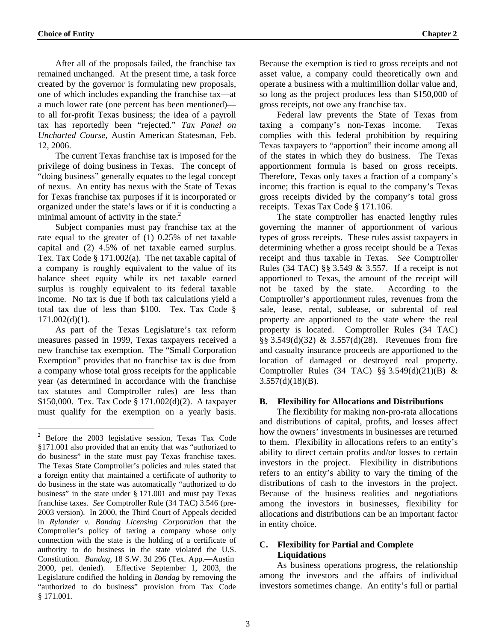<u>.</u>

<span id="page-5-0"></span>After all of the proposals failed, the franchise tax remained unchanged. At the present time, a task force created by the governor is formulating new proposals, one of which includes expanding the franchise tax—at a much lower rate (one percent has been mentioned) to all for-profit Texas business; the idea of a payroll tax has reportedly been "rejected." *Tax Panel on Uncharted Course*, Austin American Statesman, Feb. 12, 2006.

The current Texas franchise tax is imposed for the privilege of doing business in Texas. The concept of "doing business" generally equates to the legal concept of nexus. An entity has nexus with the State of Texas for Texas franchise tax purposes if it is incorporated or organized under the state's laws or if it is conducting a minimal amount of activity in the state. $2$ 

 Subject companies must pay franchise tax at the rate equal to the greater of (1) 0.25% of net taxable capital and (2) 4.5% of net taxable earned surplus. Tex. Tax Code § 171.002(a). The net taxable capital of a company is roughly equivalent to the value of its balance sheet equity while its net taxable earned surplus is roughly equivalent to its federal taxable income. No tax is due if both tax calculations yield a total tax due of less than \$100. Tex. Tax Code §  $171.002(d)(1)$ .

 As part of the Texas Legislature's tax reform measures passed in 1999, Texas taxpayers received a new franchise tax exemption. The "Small Corporation Exemption" provides that no franchise tax is due from a company whose total gross receipts for the applicable year (as determined in accordance with the franchise tax statutes and Comptroller rules) are less than \$150,000. Tex. Tax Code § 171.002(d)(2). A taxpayer must qualify for the exemption on a yearly basis.

Because the exemption is tied to gross receipts and not asset value, a company could theoretically own and operate a business with a multimillion dollar value and, so long as the project produces less than \$150,000 of gross receipts, not owe any franchise tax.

Federal law prevents the State of Texas from taxing a company's non-Texas income. Texas complies with this federal prohibition by requiring Texas taxpayers to "apportion" their income among all of the states in which they do business. The Texas apportionment formula is based on gross receipts. Therefore, Texas only taxes a fraction of a company's income; this fraction is equal to the company's Texas gross receipts divided by the company's total gross receipts. Texas Tax Code § 171.106.

 The state comptroller has enacted lengthy rules governing the manner of apportionment of various types of gross receipts. These rules assist taxpayers in determining whether a gross receipt should be a Texas receipt and thus taxable in Texas. *See* Comptroller Rules (34 TAC) §§ 3.549 & 3.557. If a receipt is not apportioned to Texas, the amount of the receipt will not be taxed by the state. According to the Comptroller's apportionment rules, revenues from the sale, lease, rental, sublease, or subrental of real property are apportioned to the state where the real property is located. Comptroller Rules (34 TAC) §§ 3.549(d)(32) & 3.557(d)(28). Revenues from fire and casualty insurance proceeds are apportioned to the location of damaged or destroyed real property. Comptroller Rules (34 TAC) §§  $3.549(d)(21)(B)$  &  $3.557(d)(18)(B)$ .

#### **B. Flexibility for Allocations and Distributions**

 The flexibility for making non-pro-rata allocations and distributions of capital, profits, and losses affect how the owners' investments in businesses are returned to them. Flexibility in allocations refers to an entity's ability to direct certain profits and/or losses to certain investors in the project. Flexibility in distributions refers to an entity's ability to vary the timing of the distributions of cash to the investors in the project. Because of the business realities and negotiations among the investors in businesses, flexibility for allocations and distributions can be an important factor in entity choice.

## **C. Flexibility for Partial and Complete Liquidations**

 As business operations progress, the relationship among the investors and the affairs of individual investors sometimes change. An entity's full or partial

<span id="page-5-1"></span><sup>&</sup>lt;sup>2</sup> Before the 2003 legislative session, Texas Tax Code §171.001 also provided that an entity that was "authorized to do business" in the state must pay Texas franchise taxes. The Texas State Comptroller's policies and rules stated that a foreign entity that maintained a certificate of authority to do business in the state was automatically "authorized to do business" in the state under § 171.001 and must pay Texas franchise taxes. *See* Comptroller Rule (34 TAC) 3.546 (pre-2003 version). In 2000, the Third Court of Appeals decided in *Rylander v. Bandag Licensing Corporation* that the Comptroller's policy of taxing a company whose only connection with the state is the holding of a certificate of authority to do business in the state violated the U.S. Constitution. *Bandag*, 18 S.W. 3d 296 (Tex. App.—Austin 2000, pet. denied). Effective September 1, 2003, the Legislature codified the holding in *Bandag* by removing the "authorized to do business" provision from Tax Code § 171.001.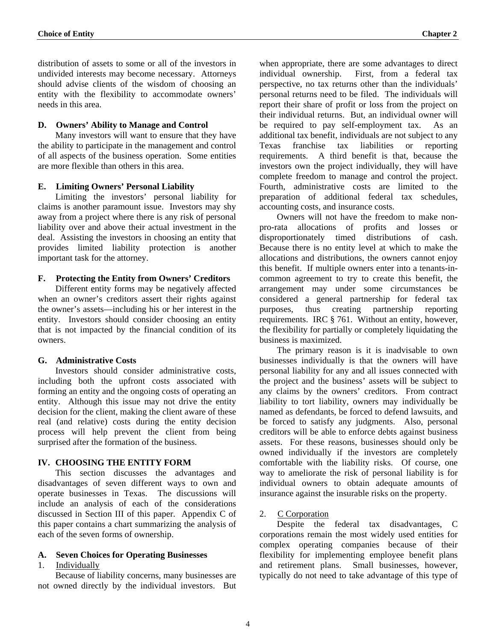<span id="page-6-0"></span>distribution of assets to some or all of the investors in undivided interests may become necessary. Attorneys should advise clients of the wisdom of choosing an entity with the flexibility to accommodate owners' needs in this area.

#### **D. Owners' Ability to Manage and Control**

 Many investors will want to ensure that they have the ability to participate in the management and control of all aspects of the business operation. Some entities are more flexible than others in this area.

#### **E. Limiting Owners' Personal Liability**

 Limiting the investors' personal liability for claims is another paramount issue. Investors may shy away from a project where there is any risk of personal liability over and above their actual investment in the deal. Assisting the investors in choosing an entity that provides limited liability protection is another important task for the attorney.

#### **F. Protecting the Entity from Owners' Creditors**

 Different entity forms may be negatively affected when an owner's creditors assert their rights against the owner's assets—including his or her interest in the entity. Investors should consider choosing an entity that is not impacted by the financial condition of its owners.

## **G. Administrative Costs**

 Investors should consider administrative costs, including both the upfront costs associated with forming an entity and the ongoing costs of operating an entity. Although this issue may not drive the entity decision for the client, making the client aware of these real (and relative) costs during the entity decision process will help prevent the client from being surprised after the formation of the business.

## **IV. CHOOSING THE ENTITY FORM**

 This section discusses the advantages and disadvantages of seven different ways to own and operate businesses in Texas. The discussions will include an analysis of each of the considerations discussed in Section III of this paper. Appendix C of this paper contains a chart summarizing the analysis of each of the seven forms of ownership.

## **A. Seven Choices for Operating Businesses**

#### 1. Individually

 Because of liability concerns, many businesses are not owned directly by the individual investors. But when appropriate, there are some advantages to direct individual ownership. First, from a federal tax perspective, no tax returns other than the individuals' personal returns need to be filed. The individuals will report their share of profit or loss from the project on their individual returns. But, an individual owner will be required to pay self-employment tax. As an additional tax benefit, individuals are not subject to any Texas franchise tax liabilities or reporting requirements. A third benefit is that, because the investors own the project individually, they will have complete freedom to manage and control the project. Fourth, administrative costs are limited to the preparation of additional federal tax schedules, accounting costs, and insurance costs.

 Owners will not have the freedom to make nonpro-rata allocations of profits and losses or disproportionately timed distributions of cash. Because there is no entity level at which to make the allocations and distributions, the owners cannot enjoy this benefit. If multiple owners enter into a tenants-incommon agreement to try to create this benefit, the arrangement may under some circumstances be considered a general partnership for federal tax purposes, thus creating partnership reporting requirements. IRC § 761. Without an entity, however, the flexibility for partially or completely liquidating the business is maximized.

 The primary reason is it is inadvisable to own businesses individually is that the owners will have personal liability for any and all issues connected with the project and the business' assets will be subject to any claims by the owners' creditors. From contract liability to tort liability, owners may individually be named as defendants, be forced to defend lawsuits, and be forced to satisfy any judgments. Also, personal creditors will be able to enforce debts against business assets. For these reasons, businesses should only be owned individually if the investors are completely comfortable with the liability risks. Of course, one way to ameliorate the risk of personal liability is for individual owners to obtain adequate amounts of insurance against the insurable risks on the property.

## 2. C Corporation

 Despite the federal tax disadvantages, C corporations remain the most widely used entities for complex operating companies because of their flexibility for implementing employee benefit plans and retirement plans. Small businesses, however, typically do not need to take advantage of this type of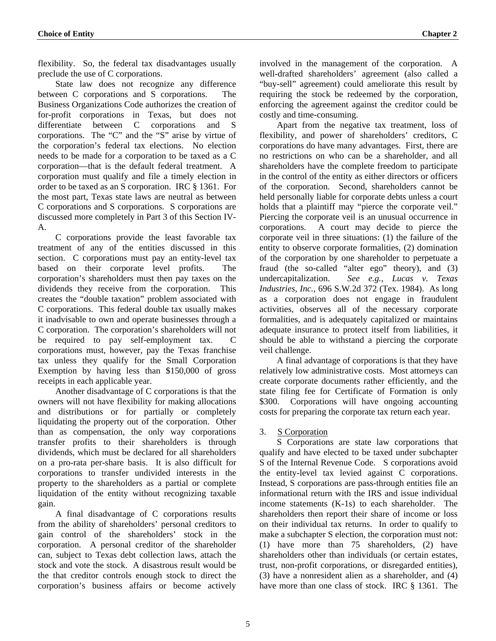<span id="page-7-0"></span>flexibility. So, the federal tax disadvantages usually preclude the use of C corporations.

 State law does not recognize any difference between C corporations and S corporations. The Business Organizations Code authorizes the creation of for-profit corporations in Texas, but does not differentiate between C corporations and S corporations. The "C" and the "S" arise by virtue of the corporation's federal tax elections. No election needs to be made for a corporation to be taxed as a C corporation—that is the default federal treatment. A corporation must qualify and file a timely election in order to be taxed as an S corporation. IRC § 1361. For the most part, Texas state laws are neutral as between C corporations and S corporations. S corporations are discussed more completely in Part 3 of this Section IV-A.

 C corporations provide the least favorable tax treatment of any of the entities discussed in this section. C corporations must pay an entity-level tax based on their corporate level profits. The corporation's shareholders must then pay taxes on the dividends they receive from the corporation. This creates the "double taxation" problem associated with C corporations. This federal double tax usually makes it inadvisable to own and operate businesses through a C corporation. The corporation's shareholders will not be required to pay self-employment tax. C corporations must, however, pay the Texas franchise tax unless they qualify for the Small Corporation Exemption by having less than \$150,000 of gross receipts in each applicable year.

 Another disadvantage of C corporations is that the owners will not have flexibility for making allocations and distributions or for partially or completely liquidating the property out of the corporation. Other than as compensation, the only way corporations transfer profits to their shareholders is through dividends, which must be declared for all shareholders on a pro-rata per-share basis. It is also difficult for corporations to transfer undivided interests in the property to the shareholders as a partial or complete liquidation of the entity without recognizing taxable gain.

 A final disadvantage of C corporations results from the ability of shareholders' personal creditors to gain control of the shareholders' stock in the corporation. A personal creditor of the shareholder can, subject to Texas debt collection laws, attach the stock and vote the stock. A disastrous result would be the that creditor controls enough stock to direct the corporation's business affairs or become actively

involved in the management of the corporation. A well-drafted shareholders' agreement (also called a "buy-sell" agreement) could ameliorate this result by requiring the stock be redeemed by the corporation, enforcing the agreement against the creditor could be costly and time-consuming.

 Apart from the negative tax treatment, loss of flexibility, and power of shareholders' creditors, C corporations do have many advantages. First, there are no restrictions on who can be a shareholder, and all shareholders have the complete freedom to participate in the control of the entity as either directors or officers of the corporation. Second, shareholders cannot be held personally liable for corporate debts unless a court holds that a plaintiff may "pierce the corporate veil." Piercing the corporate veil is an unusual occurrence in corporations. A court may decide to pierce the corporate veil in three situations: (1) the failure of the entity to observe corporate formalities, (2) domination of the corporation by one shareholder to perpetuate a fraud (the so-called "alter ego" theory), and (3) undercapitalization. *See e.g., Lucas v. Texas Industries, Inc.*, 696 S.W.2d 372 (Tex. 1984). As long as a corporation does not engage in fraudulent activities, observes all of the necessary corporate formalities, and is adequately capitalized or maintains adequate insurance to protect itself from liabilities, it should be able to withstand a piercing the corporate veil challenge.

 A final advantage of corporations is that they have relatively low administrative costs. Most attorneys can create corporate documents rather efficiently, and the state filing fee for Certificate of Formation is only \$300. Corporations will have ongoing accounting costs for preparing the corporate tax return each year.

## 3. S Corporation

 S Corporations are state law corporations that qualify and have elected to be taxed under subchapter S of the Internal Revenue Code. S corporations avoid the entity-level tax levied against C corporations. Instead, S corporations are pass-through entities file an informational return with the IRS and issue individual income statements (K-1s) to each shareholder. The shareholders then report their share of income or loss on their individual tax returns. In order to qualify to make a subchapter S election, the corporation must not: (1) have more than 75 shareholders, (2) have shareholders other than individuals (or certain estates, trust, non-profit corporations, or disregarded entities), (3) have a nonresident alien as a shareholder, and (4) have more than one class of stock. IRC § 1361. The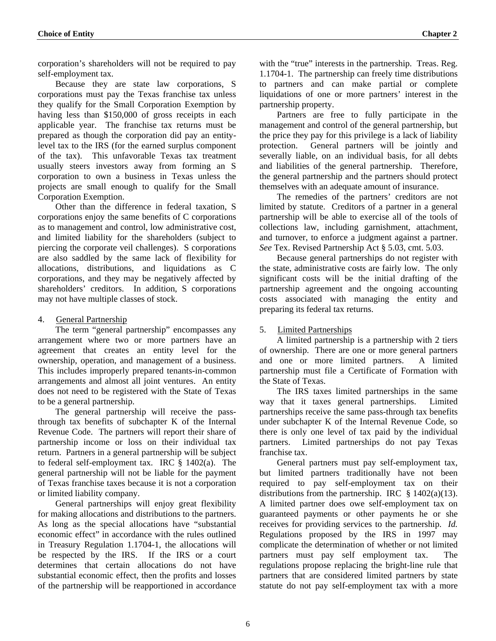<span id="page-8-0"></span>corporation's shareholders will not be required to pay self-employment tax.

Because they are state law corporations, S corporations must pay the Texas franchise tax unless they qualify for the Small Corporation Exemption by having less than \$150,000 of gross receipts in each applicable year. The franchise tax returns must be prepared as though the corporation did pay an entitylevel tax to the IRS (for the earned surplus component of the tax). This unfavorable Texas tax treatment usually steers investors away from forming an S corporation to own a business in Texas unless the projects are small enough to qualify for the Small Corporation Exemption.

Other than the difference in federal taxation, S corporations enjoy the same benefits of C corporations as to management and control, low administrative cost, and limited liability for the shareholders (subject to piercing the corporate veil challenges). S corporations are also saddled by the same lack of flexibility for allocations, distributions, and liquidations as C corporations, and they may be negatively affected by shareholders' creditors. In addition, S corporations may not have multiple classes of stock.

## 4. General Partnership

 The term "general partnership" encompasses any arrangement where two or more partners have an agreement that creates an entity level for the ownership, operation, and management of a business. This includes improperly prepared tenants-in-common arrangements and almost all joint ventures. An entity does not need to be registered with the State of Texas to be a general partnership.

 The general partnership will receive the passthrough tax benefits of subchapter K of the Internal Revenue Code. The partners will report their share of partnership income or loss on their individual tax return. Partners in a general partnership will be subject to federal self-employment tax. IRC § 1402(a). The general partnership will not be liable for the payment of Texas franchise taxes because it is not a corporation or limited liability company.

 General partnerships will enjoy great flexibility for making allocations and distributions to the partners. As long as the special allocations have "substantial economic effect" in accordance with the rules outlined in Treasury Regulation 1.1704-1, the allocations will be respected by the IRS. If the IRS or a court determines that certain allocations do not have substantial economic effect, then the profits and losses of the partnership will be reapportioned in accordance with the "true" interests in the partnership. Treas. Reg. 1.1704-1. The partnership can freely time distributions to partners and can make partial or complete liquidations of one or more partners' interest in the partnership property.

 Partners are free to fully participate in the management and control of the general partnership, but the price they pay for this privilege is a lack of liability protection. General partners will be jointly and severally liable, on an individual basis, for all debts and liabilities of the general partnership. Therefore, the general partnership and the partners should protect themselves with an adequate amount of insurance.

 The remedies of the partners' creditors are not limited by statute. Creditors of a partner in a general partnership will be able to exercise all of the tools of collections law, including garnishment, attachment, and turnover, to enforce a judgment against a partner. *See* Tex. Revised Partnership Act § 5.03, cmt. 5.03.

 Because general partnerships do not register with the state, administrative costs are fairly low. The only significant costs will be the initial drafting of the partnership agreement and the ongoing accounting costs associated with managing the entity and preparing its federal tax returns.

## 5. Limited Partnerships

 A limited partnership is a partnership with 2 tiers of ownership. There are one or more general partners and one or more limited partners. A limited partnership must file a Certificate of Formation with the State of Texas.

 The IRS taxes limited partnerships in the same way that it taxes general partnerships. Limited partnerships receive the same pass-through tax benefits under subchapter K of the Internal Revenue Code, so there is only one level of tax paid by the individual partners. Limited partnerships do not pay Texas franchise tax.

General partners must pay self-employment tax, but limited partners traditionally have not been required to pay self-employment tax on their distributions from the partnership. IRC  $§ 1402(a)(13)$ . A limited partner does owe self-employment tax on guaranteed payments or other payments he or she receives for providing services to the partnership. *Id.* Regulations proposed by the IRS in 1997 may complicate the determination of whether or not limited partners must pay self employment tax. The regulations propose replacing the bright-line rule that partners that are considered limited partners by state statute do not pay self-employment tax with a more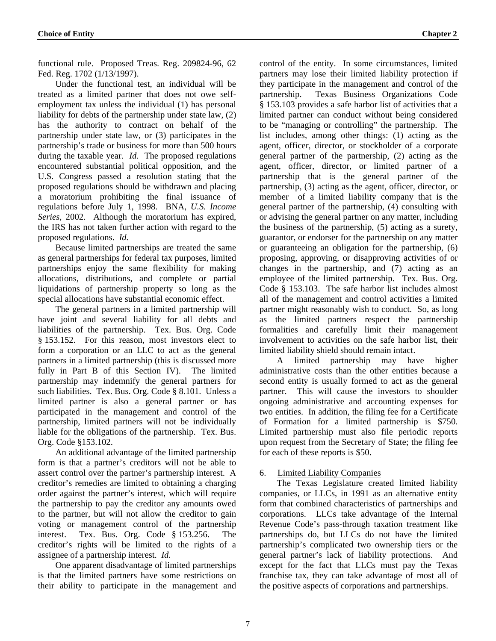<span id="page-9-0"></span>functional rule. Proposed Treas. Reg. 209824-96, 62 Fed. Reg. 1702 (1/13/1997).

Under the functional test, an individual will be treated as a limited partner that does not owe selfemployment tax unless the individual (1) has personal liability for debts of the partnership under state law, (2) has the authority to contract on behalf of the partnership under state law, or (3) participates in the partnership's trade or business for more than 500 hours during the taxable year. *Id.* The proposed regulations encountered substantial political opposition, and the U.S. Congress passed a resolution stating that the proposed regulations should be withdrawn and placing a moratorium prohibiting the final issuance of regulations before July 1, 1998. BNA, *U.S. Income Series*, 2002. Although the moratorium has expired, the IRS has not taken further action with regard to the proposed regulations. *Id.*

 Because limited partnerships are treated the same as general partnerships for federal tax purposes, limited partnerships enjoy the same flexibility for making allocations, distributions, and complete or partial liquidations of partnership property so long as the special allocations have substantial economic effect.

 The general partners in a limited partnership will have joint and several liability for all debts and liabilities of the partnership. Tex. Bus. Org. Code § 153.152. For this reason, most investors elect to form a corporation or an LLC to act as the general partners in a limited partnership (this is discussed more fully in Part B of this Section IV). The limited partnership may indemnify the general partners for such liabilities. Tex. Bus. Org. Code § 8.101. Unless a limited partner is also a general partner or has participated in the management and control of the partnership, limited partners will not be individually liable for the obligations of the partnership. Tex. Bus. Org. Code §153.102.

 An additional advantage of the limited partnership form is that a partner's creditors will not be able to assert control over the partner's partnership interest. A creditor's remedies are limited to obtaining a charging order against the partner's interest, which will require the partnership to pay the creditor any amounts owed to the partner, but will not allow the creditor to gain voting or management control of the partnership interest. Tex. Bus. Org. Code § 153.256. The creditor's rights will be limited to the rights of a assignee of a partnership interest. *Id.*

 One apparent disadvantage of limited partnerships is that the limited partners have some restrictions on their ability to participate in the management and control of the entity. In some circumstances, limited partners may lose their limited liability protection if they participate in the management and control of the partnership. Texas Business Organizations Code § 153.103 provides a safe harbor list of activities that a limited partner can conduct without being considered to be "managing or controlling" the partnership. The list includes, among other things: (1) acting as the agent, officer, director, or stockholder of a corporate general partner of the partnership, (2) acting as the agent, officer, director, or limited partner of a partnership that is the general partner of the partnership, (3) acting as the agent, officer, director, or member of a limited liability company that is the general partner of the partnership, (4) consulting with or advising the general partner on any matter, including the business of the partnership, (5) acting as a surety, guarantor, or endorser for the partnership on any matter or guaranteeing an obligation for the partnership, (6) proposing, approving, or disapproving activities of or changes in the partnership, and (7) acting as an employee of the limited partnership. Tex. Bus. Org. Code § 153.103. The safe harbor list includes almost all of the management and control activities a limited partner might reasonably wish to conduct. So, as long as the limited partners respect the partnership formalities and carefully limit their management involvement to activities on the safe harbor list, their limited liability shield should remain intact.

 A limited partnership may have higher administrative costs than the other entities because a second entity is usually formed to act as the general partner. This will cause the investors to shoulder ongoing administrative and accounting expenses for two entities. In addition, the filing fee for a Certificate of Formation for a limited partnership is \$750. Limited partnership must also file periodic reports upon request from the Secretary of State; the filing fee for each of these reports is \$50.

## 6. Limited Liability Companies

 The Texas Legislature created limited liability companies, or LLCs, in 1991 as an alternative entity form that combined characteristics of partnerships and corporations. LLCs take advantage of the Internal Revenue Code's pass-through taxation treatment like partnerships do, but LLCs do not have the limited partnership's complicated two ownership tiers or the general partner's lack of liability protections. And except for the fact that LLCs must pay the Texas franchise tax, they can take advantage of most all of the positive aspects of corporations and partnerships.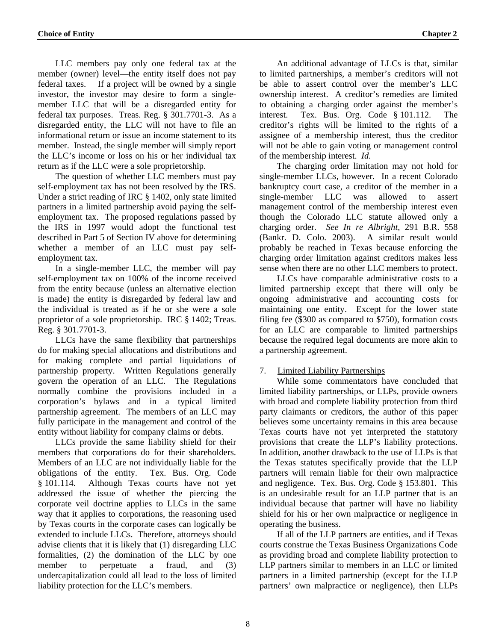<span id="page-10-0"></span> LLC members pay only one federal tax at the member (owner) level—the entity itself does not pay federal taxes. If a project will be owned by a single investor, the investor may desire to form a singlemember LLC that will be a disregarded entity for federal tax purposes. Treas. Reg. § 301.7701-3. As a disregarded entity, the LLC will not have to file an informational return or issue an income statement to its member. Instead, the single member will simply report the LLC's income or loss on his or her individual tax return as if the LLC were a sole proprietorship.

The question of whether LLC members must pay self-employment tax has not been resolved by the IRS. Under a strict reading of IRC § 1402, only state limited partners in a limited partnership avoid paying the selfemployment tax. The proposed regulations passed by the IRS in 1997 would adopt the functional test described in Part 5 of Section IV above for determining whether a member of an LLC must pay selfemployment tax.

In a single-member LLC, the member will pay self-employment tax on 100% of the income received from the entity because (unless an alternative election is made) the entity is disregarded by federal law and the individual is treated as if he or she were a sole proprietor of a sole proprietorship. IRC § 1402; Treas. Reg. § 301.7701-3.

 LLCs have the same flexibility that partnerships do for making special allocations and distributions and for making complete and partial liquidations of partnership property. Written Regulations generally govern the operation of an LLC. The Regulations normally combine the provisions included in a corporation's bylaws and in a typical limited partnership agreement. The members of an LLC may fully participate in the management and control of the entity without liability for company claims or debts.

 LLCs provide the same liability shield for their members that corporations do for their shareholders. Members of an LLC are not individually liable for the obligations of the entity. Tex. Bus. Org. Code § 101.114. Although Texas courts have not yet addressed the issue of whether the piercing the corporate veil doctrine applies to LLCs in the same way that it applies to corporations, the reasoning used by Texas courts in the corporate cases can logically be extended to include LLCs. Therefore, attorneys should advise clients that it is likely that (1) disregarding LLC formalities, (2) the domination of the LLC by one member to perpetuate a fraud, and (3) undercapitalization could all lead to the loss of limited liability protection for the LLC's members.

 An additional advantage of LLCs is that, similar to limited partnerships, a member's creditors will not be able to assert control over the member's LLC ownership interest. A creditor's remedies are limited to obtaining a charging order against the member's interest. Tex. Bus. Org. Code § 101.112. The creditor's rights will be limited to the rights of a assignee of a membership interest, thus the creditor will not be able to gain voting or management control of the membership interest. *Id.* 

The charging order limitation may not hold for single-member LLCs, however. In a recent Colorado bankruptcy court case, a creditor of the member in a single-member LLC was allowed to assert management control of the membership interest even though the Colorado LLC statute allowed only a charging order. *See In re Albright*, 291 B.R. 558 (Bankr. D. Colo. 2003). A similar result would probably be reached in Texas because enforcing the charging order limitation against creditors makes less sense when there are no other LLC members to protect.

 LLCs have comparable administrative costs to a limited partnership except that there will only be ongoing administrative and accounting costs for maintaining one entity. Except for the lower state filing fee (\$300 as compared to \$750), formation costs for an LLC are comparable to limited partnerships because the required legal documents are more akin to a partnership agreement.

## 7. Limited Liability Partnerships

 While some commentators have concluded that limited liability partnerships, or LLPs, provide owners with broad and complete liability protection from third party claimants or creditors, the author of this paper believes some uncertainty remains in this area because Texas courts have not yet interpreted the statutory provisions that create the LLP's liability protections. In addition, another drawback to the use of LLPs is that the Texas statutes specifically provide that the LLP partners will remain liable for their own malpractice and negligence. Tex. Bus. Org. Code § 153.801. This is an undesirable result for an LLP partner that is an individual because that partner will have no liability shield for his or her own malpractice or negligence in operating the business.

If all of the LLP partners are entities, and if Texas courts construe the Texas Business Organizations Code as providing broad and complete liability protection to LLP partners similar to members in an LLC or limited partners in a limited partnership (except for the LLP partners' own malpractice or negligence), then LLPs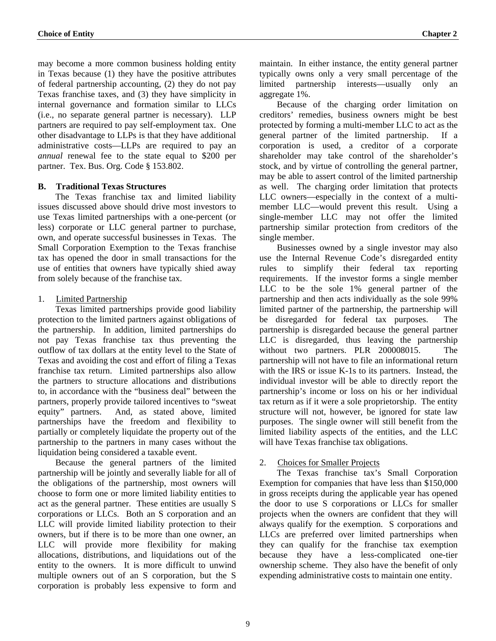<span id="page-11-0"></span>may become a more common business holding entity in Texas because (1) they have the positive attributes of federal partnership accounting, (2) they do not pay Texas franchise taxes, and (3) they have simplicity in internal governance and formation similar to LLCs (i.e., no separate general partner is necessary). LLP partners are required to pay self-employment tax. One other disadvantage to LLPs is that they have additional administrative costs—LLPs are required to pay an *annual* renewal fee to the state equal to \$200 per partner. Tex. Bus. Org. Code § 153.802.

## **B. Traditional Texas Structures**

 The Texas franchise tax and limited liability issues discussed above should drive most investors to use Texas limited partnerships with a one-percent (or less) corporate or LLC general partner to purchase, own, and operate successful businesses in Texas. The Small Corporation Exemption to the Texas franchise tax has opened the door in small transactions for the use of entities that owners have typically shied away from solely because of the franchise tax.

## 1. Limited Partnership

 Texas limited partnerships provide good liability protection to the limited partners against obligations of the partnership. In addition, limited partnerships do not pay Texas franchise tax thus preventing the outflow of tax dollars at the entity level to the State of Texas and avoiding the cost and effort of filing a Texas franchise tax return. Limited partnerships also allow the partners to structure allocations and distributions to, in accordance with the "business deal" between the partners, properly provide tailored incentives to "sweat equity" partners. And, as stated above, limited partnerships have the freedom and flexibility to partially or completely liquidate the property out of the partnership to the partners in many cases without the liquidation being considered a taxable event.

 Because the general partners of the limited partnership will be jointly and severally liable for all of the obligations of the partnership, most owners will choose to form one or more limited liability entities to act as the general partner. These entities are usually S corporations or LLCs. Both an S corporation and an LLC will provide limited liability protection to their owners, but if there is to be more than one owner, an LLC will provide more flexibility for making allocations, distributions, and liquidations out of the entity to the owners. It is more difficult to unwind multiple owners out of an S corporation, but the S corporation is probably less expensive to form and maintain. In either instance, the entity general partner typically owns only a very small percentage of the limited partnership interests—usually only an aggregate 1%.

 Because of the charging order limitation on creditors' remedies, business owners might be best protected by forming a multi-member LLC to act as the general partner of the limited partnership. If a corporation is used, a creditor of a corporate shareholder may take control of the shareholder's stock, and by virtue of controlling the general partner, may be able to assert control of the limited partnership as well. The charging order limitation that protects LLC owners—especially in the context of a multimember LLC—would prevent this result. Using a single-member LLC may not offer the limited partnership similar protection from creditors of the single member.

 Businesses owned by a single investor may also use the Internal Revenue Code's disregarded entity rules to simplify their federal tax reporting requirements. If the investor forms a single member LLC to be the sole 1% general partner of the partnership and then acts individually as the sole 99% limited partner of the partnership, the partnership will be disregarded for federal tax purposes. The partnership is disregarded because the general partner LLC is disregarded, thus leaving the partnership without two partners. PLR 200008015. The partnership will not have to file an informational return with the IRS or issue K-1s to its partners. Instead, the individual investor will be able to directly report the partnership's income or loss on his or her individual tax return as if it were a sole proprietorship. The entity structure will not, however, be ignored for state law purposes. The single owner will still benefit from the limited liability aspects of the entities, and the LLC will have Texas franchise tax obligations.

## 2. Choices for Smaller Projects

 The Texas franchise tax's Small Corporation Exemption for companies that have less than \$150,000 in gross receipts during the applicable year has opened the door to use S corporations or LLCs for smaller projects when the owners are confident that they will always qualify for the exemption. S corporations and LLCs are preferred over limited partnerships when they can qualify for the franchise tax exemption because they have a less-complicated one-tier ownership scheme. They also have the benefit of only expending administrative costs to maintain one entity.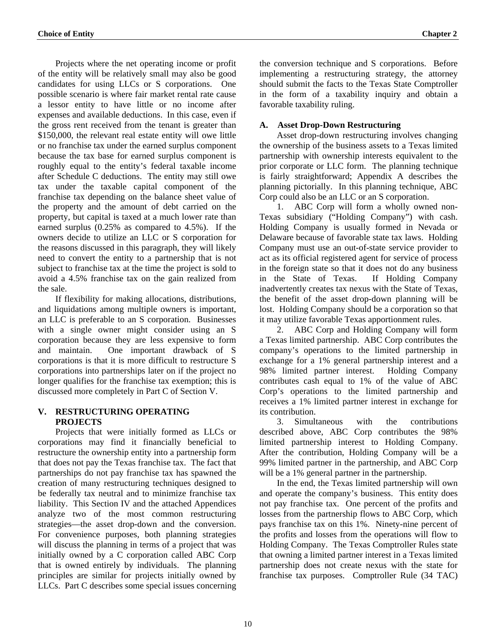<span id="page-12-0"></span> Projects where the net operating income or profit of the entity will be relatively small may also be good candidates for using LLCs or S corporations. One possible scenario is where fair market rental rate cause a lessor entity to have little or no income after expenses and available deductions. In this case, even if the gross rent received from the tenant is greater than \$150,000, the relevant real estate entity will owe little or no franchise tax under the earned surplus component because the tax base for earned surplus component is roughly equal to the entity's federal taxable income after Schedule C deductions. The entity may still owe tax under the taxable capital component of the franchise tax depending on the balance sheet value of the property and the amount of debt carried on the property, but capital is taxed at a much lower rate than earned surplus (0.25% as compared to 4.5%). If the owners decide to utilize an LLC or S corporation for the reasons discussed in this paragraph, they will likely need to convert the entity to a partnership that is not subject to franchise tax at the time the project is sold to avoid a 4.5% franchise tax on the gain realized from the sale.

 If flexibility for making allocations, distributions, and liquidations among multiple owners is important, an LLC is preferable to an S corporation. Businesses with a single owner might consider using an S corporation because they are less expensive to form and maintain. One important drawback of S corporations is that it is more difficult to restructure S corporations into partnerships later on if the project no longer qualifies for the franchise tax exemption; this is discussed more completely in Part C of Section V.

## **V. RESTRUCTURING OPERATING PROJECTS**

 Projects that were initially formed as LLCs or corporations may find it financially beneficial to restructure the ownership entity into a partnership form that does not pay the Texas franchise tax. The fact that partnerships do not pay franchise tax has spawned the creation of many restructuring techniques designed to be federally tax neutral and to minimize franchise tax liability. This Section IV and the attached Appendices analyze two of the most common restructuring strategies—the asset drop-down and the conversion. For convenience purposes, both planning strategies will discuss the planning in terms of a project that was initially owned by a C corporation called ABC Corp that is owned entirely by individuals. The planning principles are similar for projects initially owned by LLCs. Part C describes some special issues concerning the conversion technique and S corporations. Before implementing a restructuring strategy, the attorney should submit the facts to the Texas State Comptroller in the form of a taxability inquiry and obtain a favorable taxability ruling.

## **A. Asset Drop-Down Restructuring**

 Asset drop-down restructuring involves changing the ownership of the business assets to a Texas limited partnership with ownership interests equivalent to the prior corporate or LLC form. The planning technique is fairly straightforward; Appendix A describes the planning pictorially. In this planning technique, ABC Corp could also be an LLC or an S corporation.

1. ABC Corp will form a wholly owned non-Texas subsidiary ("Holding Company") with cash. Holding Company is usually formed in Nevada or Delaware because of favorable state tax laws. Holding Company must use an out-of-state service provider to act as its official registered agent for service of process in the foreign state so that it does not do any business in the State of Texas. If Holding Company inadvertently creates tax nexus with the State of Texas, the benefit of the asset drop-down planning will be lost. Holding Company should be a corporation so that it may utilize favorable Texas apportionment rules.

2. ABC Corp and Holding Company will form a Texas limited partnership. ABC Corp contributes the company's operations to the limited partnership in exchange for a 1% general partnership interest and a 98% limited partner interest. Holding Company contributes cash equal to 1% of the value of ABC Corp's operations to the limited partnership and receives a 1% limited partner interest in exchange for its contribution.

3. Simultaneous with the contributions described above, ABC Corp contributes the 98% limited partnership interest to Holding Company. After the contribution, Holding Company will be a 99% limited partner in the partnership, and ABC Corp will be a 1% general partner in the partnership.

 In the end, the Texas limited partnership will own and operate the company's business. This entity does not pay franchise tax. One percent of the profits and losses from the partnership flows to ABC Corp, which pays franchise tax on this 1%. Ninety-nine percent of the profits and losses from the operations will flow to Holding Company. The Texas Comptroller Rules state that owning a limited partner interest in a Texas limited partnership does not create nexus with the state for franchise tax purposes. Comptroller Rule (34 TAC)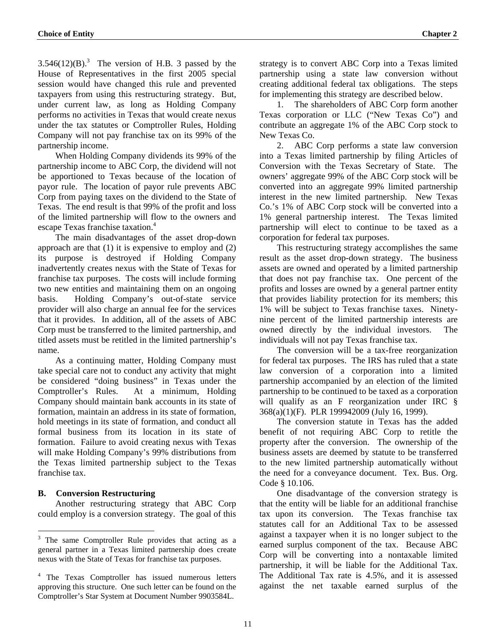<span id="page-13-0"></span> $3.546(12)(B)$ .<sup>3</sup> The version of H.B. 3 passed by the House of Representatives in the first 2005 special session would have changed this rule and prevented taxpayers from using this restructuring strategy. But, under current law, as long as Holding Company performs no activities in Texas that would create nexus under the tax statutes or Comptroller Rules, Holding Company will not pay franchise tax on its 99% of the partnership income.

When Holding Company dividends its 99% of the partnership income to ABC Corp, the dividend will not be apportioned to Texas because of the location of payor rule. The location of payor rule prevents ABC Corp from paying taxes on the dividend to the State of Texas. The end result is that 99% of the profit and loss of the limited partnership will flow to the owners and escape Texas franchise taxation.<sup>4</sup>

The main disadvantages of the asset drop-down approach are that (1) it is expensive to employ and (2) its purpose is destroyed if Holding Company inadvertently creates nexus with the State of Texas for franchise tax purposes. The costs will include forming two new entities and maintaining them on an ongoing basis. Holding Company's out-of-state service provider will also charge an annual fee for the services that it provides. In addition, all of the assets of ABC Corp must be transferred to the limited partnership, and titled assets must be retitled in the limited partnership's name.

As a continuing matter, Holding Company must take special care not to conduct any activity that might be considered "doing business" in Texas under the Comptroller's Rules. At a minimum, Holding Company should maintain bank accounts in its state of formation, maintain an address in its state of formation, hold meetings in its state of formation, and conduct all formal business from its location in its state of formation. Failure to avoid creating nexus with Texas will make Holding Company's 99% distributions from the Texas limited partnership subject to the Texas franchise tax.

#### **B. Conversion Restructuring**

Another restructuring strategy that ABC Corp could employ is a conversion strategy. The goal of this

strategy is to convert ABC Corp into a Texas limited partnership using a state law conversion without creating additional federal tax obligations. The steps for implementing this strategy are described below.

1. The shareholders of ABC Corp form another Texas corporation or LLC ("New Texas Co") and contribute an aggregate 1% of the ABC Corp stock to New Texas Co.

2. ABC Corp performs a state law conversion into a Texas limited partnership by filing Articles of Conversion with the Texas Secretary of State. The owners' aggregate 99% of the ABC Corp stock will be converted into an aggregate 99% limited partnership interest in the new limited partnership. New Texas Co.'s 1% of ABC Corp stock will be converted into a 1% general partnership interest. The Texas limited partnership will elect to continue to be taxed as a corporation for federal tax purposes.

 This restructuring strategy accomplishes the same result as the asset drop-down strategy. The business assets are owned and operated by a limited partnership that does not pay franchise tax. One percent of the profits and losses are owned by a general partner entity that provides liability protection for its members; this 1% will be subject to Texas franchise taxes. Ninetynine percent of the limited partnership interests are owned directly by the individual investors. The individuals will not pay Texas franchise tax.

 The conversion will be a tax-free reorganization for federal tax purposes. The IRS has ruled that a state law conversion of a corporation into a limited partnership accompanied by an election of the limited partnership to be continued to be taxed as a corporation will qualify as an F reorganization under IRC § 368(a)(1)(F). PLR 199942009 (July 16, 1999).

 The conversion statute in Texas has the added benefit of not requiring ABC Corp to retitle the property after the conversion. The ownership of the business assets are deemed by statute to be transferred to the new limited partnership automatically without the need for a conveyance document. Tex. Bus. Org. Code § 10.106.

 One disadvantage of the conversion strategy is that the entity will be liable for an additional franchise tax upon its conversion. The Texas franchise tax statutes call for an Additional Tax to be assessed against a taxpayer when it is no longer subject to the earned surplus component of the tax. Because ABC Corp will be converting into a nontaxable limited partnership, it will be liable for the Additional Tax. The Additional Tax rate is 4.5%, and it is assessed against the net taxable earned surplus of the

<span id="page-13-1"></span><sup>&</sup>lt;sup>3</sup> The same Comptroller Rule provides that acting as a general partner in a Texas limited partnership does create nexus with the State of Texas for franchise tax purposes.

<span id="page-13-2"></span><sup>&</sup>lt;sup>4</sup> The Texas Comptroller has issued numerous letters approving this structure. One such letter can be found on the Comptroller's Star System at Document Number 9903584L.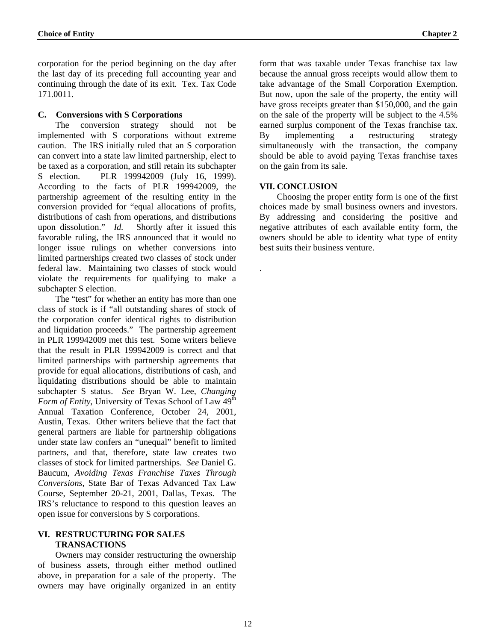<span id="page-14-0"></span>corporation for the period beginning on the day after the last day of its preceding full accounting year and continuing through the date of its exit. Tex. Tax Code 171.0011.

## **C. Conversions with S Corporations**

 The conversion strategy should not be implemented with S corporations without extreme caution. The IRS initially ruled that an S corporation can convert into a state law limited partnership, elect to be taxed as a corporation, and still retain its subchapter S election. PLR 199942009 (July 16, 1999). According to the facts of PLR 199942009, the partnership agreement of the resulting entity in the conversion provided for "equal allocations of profits, distributions of cash from operations, and distributions upon dissolution." *Id.* Shortly after it issued this favorable ruling, the IRS announced that it would no longer issue rulings on whether conversions into limited partnerships created two classes of stock under federal law. Maintaining two classes of stock would violate the requirements for qualifying to make a subchapter S election.

 The "test" for whether an entity has more than one class of stock is if "all outstanding shares of stock of the corporation confer identical rights to distribution and liquidation proceeds." The partnership agreement in PLR 199942009 met this test. Some writers believe that the result in PLR 199942009 is correct and that limited partnerships with partnership agreements that provide for equal allocations, distributions of cash, and liquidating distributions should be able to maintain subchapter S status. *See* Bryan W. Lee, *Changing Form of Entity*, University of Texas School of Law 49<sup>th</sup> Annual Taxation Conference, October 24, 2001, Austin, Texas. Other writers believe that the fact that general partners are liable for partnership obligations under state law confers an "unequal" benefit to limited partners, and that, therefore, state law creates two classes of stock for limited partnerships. *See* Daniel G. Baucum, *Avoiding Texas Franchise Taxes Through Conversions*, State Bar of Texas Advanced Tax Law Course, September 20-21, 2001, Dallas, Texas. The IRS's reluctance to respond to this question leaves an open issue for conversions by S corporations.

## **VI. RESTRUCTURING FOR SALES TRANSACTIONS**

 Owners may consider restructuring the ownership of business assets, through either method outlined above, in preparation for a sale of the property. The owners may have originally organized in an entity

form that was taxable under Texas franchise tax law because the annual gross receipts would allow them to take advantage of the Small Corporation Exemption. But now, upon the sale of the property, the entity will have gross receipts greater than \$150,000, and the gain on the sale of the property will be subject to the 4.5% earned surplus component of the Texas franchise tax. By implementing a restructuring strategy simultaneously with the transaction, the company should be able to avoid paying Texas franchise taxes on the gain from its sale.

## **VII. CONCLUSION**

.

 Choosing the proper entity form is one of the first choices made by small business owners and investors. By addressing and considering the positive and negative attributes of each available entity form, the owners should be able to identity what type of entity best suits their business venture.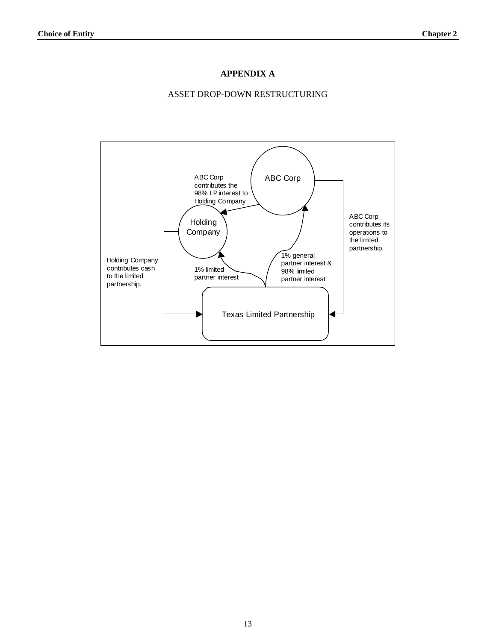## **APPENDIX A**

## ASSET DROP-DOWN RESTRUCTURING

<span id="page-15-0"></span>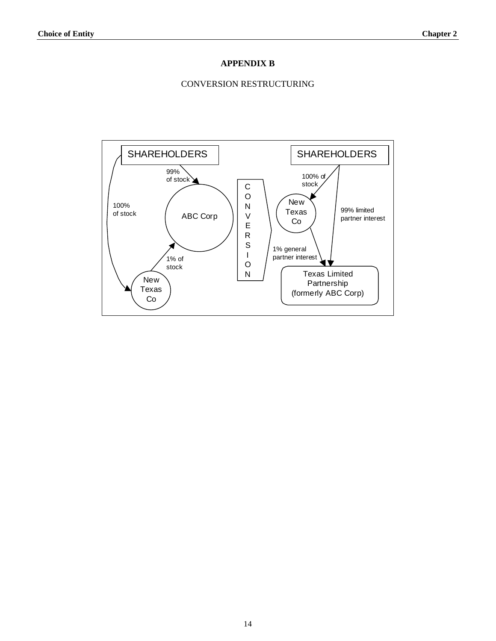## **APPENDIX B**

#### CONVERSION RESTRUCTURING

<span id="page-16-0"></span>